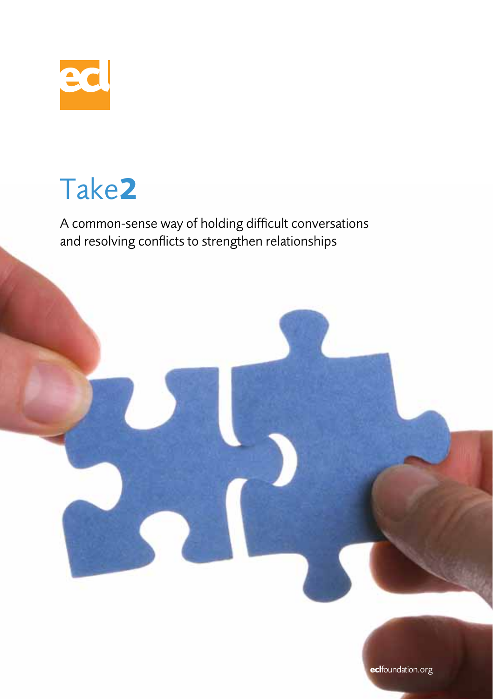

## Take**2**

A common-sense way of holding difficult conversations and resolving conflicts to strengthen relationships

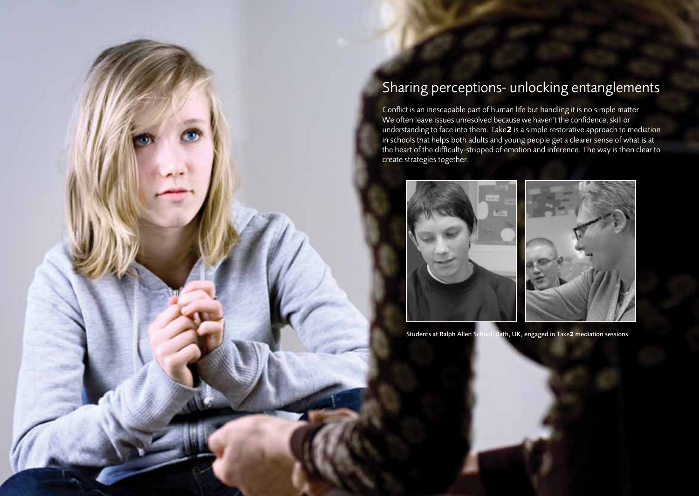## Sharing perceptions- unlocking entanglements

Conflict is an inescapable part of human life but handling it is no simple matter. We often leave issues unresolved because we haven't the confidence, skill or understanding to face into them. Take**2** is a simple restorative approach to mediation in schools that helps both adults and young people get a clearer sense of what is at the heart of the difficulty-stripped of emotion and inference. The way is then clear to create strategies together.



Students at Ralph Allen School, Bath, UK, engaged in Take**2** mediation sessions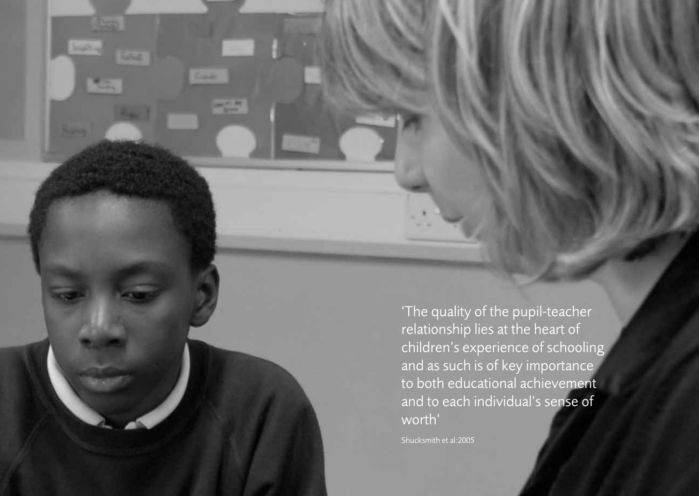'The quality of the pupil-teacher relationship lies at the heart of children's experience of schooling and as such is of key importance to both educational achievement and to each individual's sense of worth'

Shucksmith et al:2005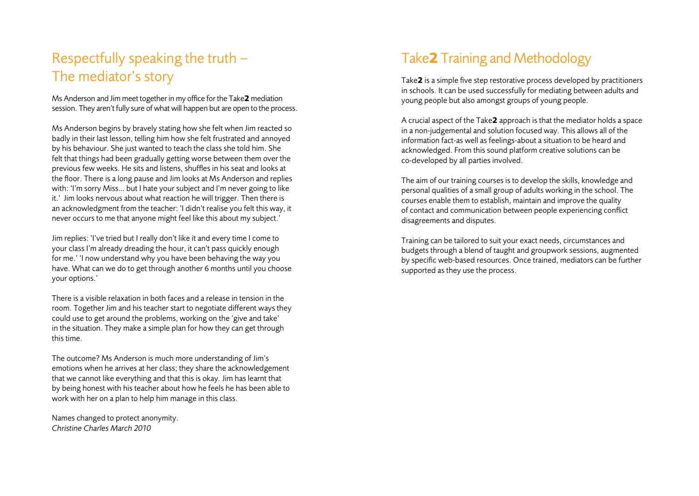## Respectfully speaking the truth – The mediator's story

Ms Anderson and Jim meet together in my office for the Take**2** mediation session. They aren't fully sure of what will happen but are open to the process.

Ms Anderson begins by bravely stating how she felt when Jim reacted so badly in their last lesson, telling him how she felt frustrated and annoyed by his behaviour. She just wanted to teach the class she told him. She felt that things had been gradually getting worse between them over the previous few weeks. He sits and listens, shuffles in his seat and looks at the floor. There is a long pause and Jim looks at Ms Anderson and replies with: 'I'm sorry Miss… but I hate your subject and I'm never going to like it.' Jim looks nervous about what reaction he will trigger. Then there is an acknowledgment from the teacher: 'I didn't realise you felt this way, it never occurs to me that anyone might feel like this about my subject.'

Jim replies: 'I've tried but I really don't like it and every time I come to your class I'm already dreading the hour, it can't pass quickly enough for me.' 'I now understand why you have been behaving the way you have. What can we do to get through another 6 months until you choose your options.'

There is a visible relaxation in both faces and a release in tension in the room. Together Jim and his teacher start to negotiate different ways they could use to get around the problems, working on the 'give and take' in the situation. They make a simple plan for how they can get through this time.

The outcome? Ms Anderson is much more understanding of Jim's emotions when he arrives at her class; they share the acknowledgement that we cannot like everything and that this is okay. Jim has learnt that by being honest with his teacher about how he feels he has been able to work with her on a plan to help him manage in this class.

Names changed to protect anonymity. *Christine Charles March 2010*

## Take**2** Training and Methodology

Take**2** is a simple five step restorative process developed by practitioners in schools. It can be used successfully for mediating between adults and young people but also amongst groups of young people.

A crucial aspect of the Take**2** approach is that the mediator holds a space in a non-judgemental and solution focused way. This allows all of the information fact-as well as feelings-about a situation to be heard and acknowledged. From this sound platform creative solutions can be co-developed by all parties involved.

The aim of our training courses is to develop the skills, knowledge and personal qualities of a small group of adults working in the school. The courses enable them to establish, maintain and improve the quality of contact and communication between people experiencing conflict disagreements and disputes.

Training can be tailored to suit your exact needs, circumstances and budgets through a blend of taught and groupwork sessions, augmented by specific web-based resources. Once trained, mediators can be further supported as they use the process.